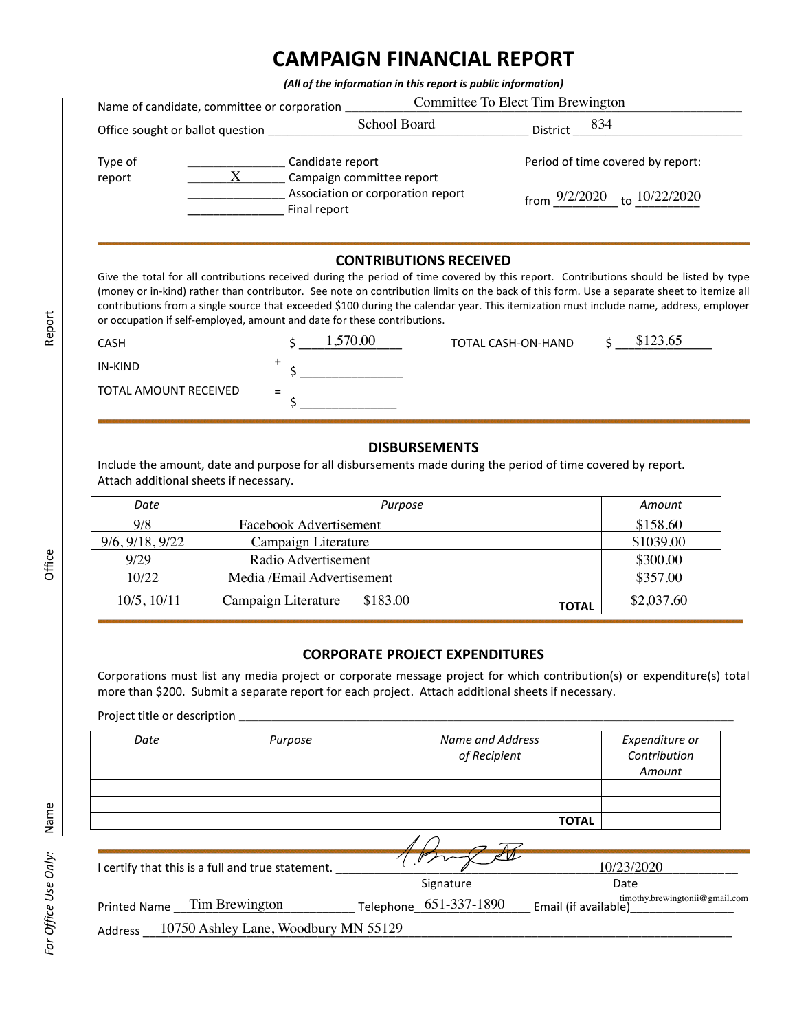# **CAMPAIGN FINANCIAL REPORT**

*(All of the information in this report is public information)*

|                                  | Committee To Elect Tim Brewington<br>Name of candidate, committee or corporation |                                                                |                                                                       |  |  |
|----------------------------------|----------------------------------------------------------------------------------|----------------------------------------------------------------|-----------------------------------------------------------------------|--|--|
| Office sought or ballot question |                                                                                  | School Board                                                   | 834<br>District                                                       |  |  |
| Type of<br>report                | Candidate report<br>X<br>Final report                                            | Campaign committee report<br>Association or corporation report | Period of time covered by report:<br>from 9/2/2020<br>to $10/22/2020$ |  |  |

#### **CONTRIBUTIONS RECEIVED**

| <b>CASH</b>           |     | 1,570.00 | TOTAL CASH-ON-HAND | \$123.65 |
|-----------------------|-----|----------|--------------------|----------|
| IN-KIND               |     |          |                    |          |
| TOTAL AMOUNT RECEIVED | $=$ |          |                    |          |

#### **DISBURSEMENTS**

| Date             | Purpose                         | Amount                     |
|------------------|---------------------------------|----------------------------|
| 9/8              | Facebook Advertisement          | \$158.60                   |
| 9/6, 9/18, 9/22  | Campaign Literature             | \$1039.00                  |
| 9/29             | Radio Advertisement             | \$300.00                   |
| 10/22            | Media / Email Advertisement     | \$357.00                   |
| $10/5$ , $10/11$ | \$183.00<br>Campaign Literature | \$2,037.60<br><b>TOTAL</b> |

#### **CORPORATE PROJECT EXPENDITURES**

|                                        | Association or corporation report<br>Final report                        |                                                                                                                                                                                                                                                                                                                                                                                                                                                                |                      | from $9/2/2020$ to $10/22/2020$          |
|----------------------------------------|--------------------------------------------------------------------------|----------------------------------------------------------------------------------------------------------------------------------------------------------------------------------------------------------------------------------------------------------------------------------------------------------------------------------------------------------------------------------------------------------------------------------------------------------------|----------------------|------------------------------------------|
|                                        | or occupation if self-employed, amount and date for these contributions. | <b>CONTRIBUTIONS RECEIVED</b><br>Give the total for all contributions received during the period of time covered by this report. Contributions should be listed by type<br>(money or in-kind) rather than contributor. See note on contribution limits on the back of this form. Use a separate sheet to itemize all<br>contributions from a single source that exceeded \$100 during the calendar year. This itemization must include name, address, employer |                      |                                          |
| <b>CASH</b>                            | 1,570.00                                                                 | TOTAL CASH-ON-HAND                                                                                                                                                                                                                                                                                                                                                                                                                                             |                      | \$123.65                                 |
| IN-KIND                                |                                                                          |                                                                                                                                                                                                                                                                                                                                                                                                                                                                |                      |                                          |
| <b>TOTAL AMOUNT RECEIVED</b>           |                                                                          |                                                                                                                                                                                                                                                                                                                                                                                                                                                                |                      |                                          |
| Attach additional sheets if necessary. |                                                                          | <b>DISBURSEMENTS</b><br>Include the amount, date and purpose for all disbursements made during the period of time covered by report.                                                                                                                                                                                                                                                                                                                           |                      |                                          |
| Date                                   |                                                                          | Purpose                                                                                                                                                                                                                                                                                                                                                                                                                                                        |                      | Amount                                   |
| 9/8                                    | Facebook Advertisement                                                   |                                                                                                                                                                                                                                                                                                                                                                                                                                                                |                      | \$158.60                                 |
| 9/6, 9/18, 9/22                        | Campaign Literature                                                      |                                                                                                                                                                                                                                                                                                                                                                                                                                                                |                      | \$1039.00                                |
| 9/29                                   | Radio Advertisement                                                      |                                                                                                                                                                                                                                                                                                                                                                                                                                                                |                      | \$300.00                                 |
| 10/22                                  | Media /Email Advertisement                                               |                                                                                                                                                                                                                                                                                                                                                                                                                                                                |                      | \$357.00                                 |
| 10/5, 10/11                            | \$183.00<br>Campaign Literature<br><b>TOTAL</b>                          |                                                                                                                                                                                                                                                                                                                                                                                                                                                                |                      | \$2,037.60                               |
|                                        |                                                                          | <b>CORPORATE PROJECT EXPENDITURES</b><br>Corporations must list any media project or corporate message project for which contribution(s) or expenditure(s) total<br>more than \$200. Submit a separate report for each project. Attach additional sheets if necessary.                                                                                                                                                                                         |                      |                                          |
| Date                                   | Purpose                                                                  | Name and Address<br>of Recipient                                                                                                                                                                                                                                                                                                                                                                                                                               |                      | Expenditure or<br>Contribution<br>Amount |
|                                        |                                                                          |                                                                                                                                                                                                                                                                                                                                                                                                                                                                | <b>TOTAL</b>         |                                          |
|                                        |                                                                          |                                                                                                                                                                                                                                                                                                                                                                                                                                                                |                      |                                          |
|                                        | I certify that this is a full and true statement.                        |                                                                                                                                                                                                                                                                                                                                                                                                                                                                |                      | 10/23/2020                               |
|                                        |                                                                          | Signature                                                                                                                                                                                                                                                                                                                                                                                                                                                      |                      | Date                                     |
| <b>Printed Name</b>                    | Tim Brewington                                                           | 651-337-1890<br>Telephone                                                                                                                                                                                                                                                                                                                                                                                                                                      | Email (if available) | timothy.brewingtonii@gmail.com           |
|                                        |                                                                          |                                                                                                                                                                                                                                                                                                                                                                                                                                                                |                      |                                          |
| Address                                | 10750 Ashley Lane, Woodbury MN 55129                                     |                                                                                                                                                                                                                                                                                                                                                                                                                                                                |                      |                                          |